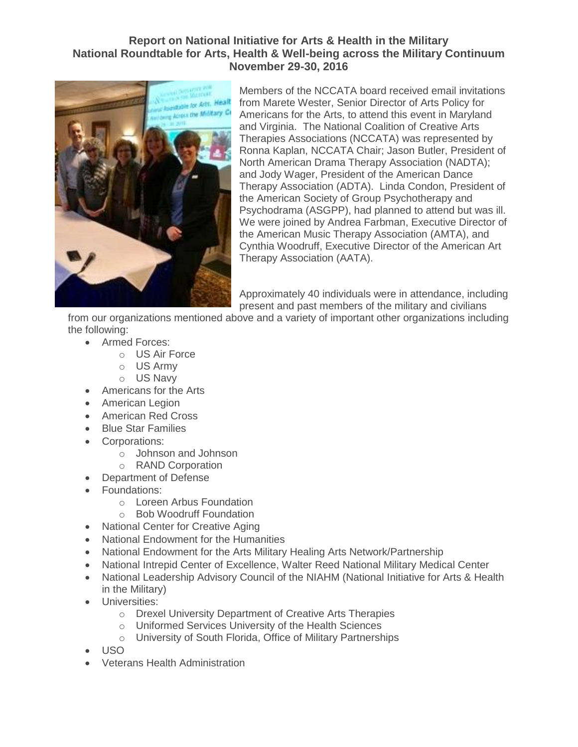## **Report on National Initiative for Arts & Health in the Military National Roundtable for Arts, Health & Well-being across the Military Continuum November 29-30, 2016**



Members of the NCCATA board received email invitations from Marete Wester, Senior Director of Arts Policy for Americans for the Arts, to attend this event in Maryland and Virginia. The National Coalition of Creative Arts Therapies Associations (NCCATA) was represented by Ronna Kaplan, NCCATA Chair; Jason Butler, President of North American Drama Therapy Association (NADTA); and Jody Wager, President of the American Dance Therapy Association (ADTA). Linda Condon, President of the American Society of Group Psychotherapy and Psychodrama (ASGPP), had planned to attend but was ill. We were joined by Andrea Farbman, Executive Director of the American Music Therapy Association (AMTA), and Cynthia Woodruff, Executive Director of the American Art Therapy Association (AATA).

Approximately 40 individuals were in attendance, including present and past members of the military and civilians

from our organizations mentioned above and a variety of important other organizations including the following:

- Armed Forces:
	- o US Air Force
	- o US Army
	- o US Navy
- Americans for the Arts
- American Legion
- American Red Cross
- Blue Star Families
- Corporations:
	- o Johnson and Johnson
	- o RAND Corporation
- Department of Defense
- Foundations:
	- o Loreen Arbus Foundation
	- o Bob Woodruff Foundation
- National Center for Creative Aging
- National Endowment for the Humanities
- National Endowment for the Arts Military Healing Arts Network/Partnership
- National Intrepid Center of Excellence, Walter Reed National Military Medical Center
- National Leadership Advisory Council of the NIAHM (National Initiative for Arts & Health in the Military)
- **•** Universities:
	- o Drexel University Department of Creative Arts Therapies
	- o Uniformed Services University of the Health Sciences
	- o University of South Florida, Office of Military Partnerships
- USO
- Veterans Health Administration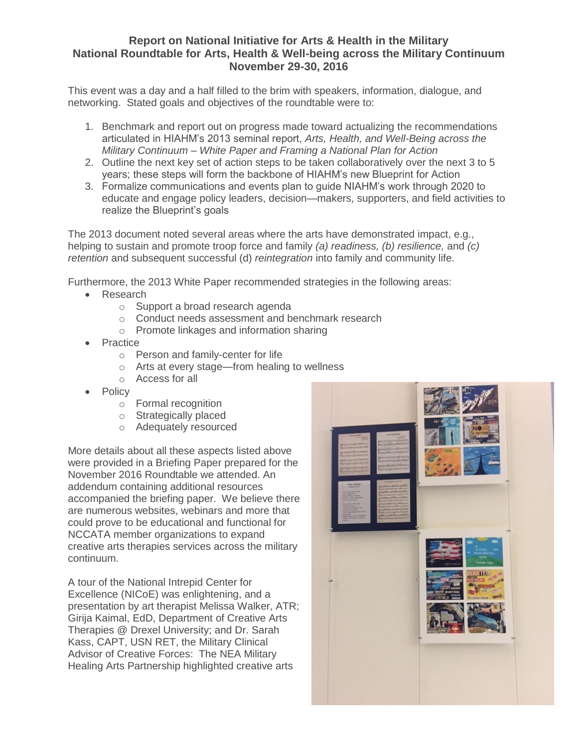## **Report on National Initiative for Arts & Health in the Military National Roundtable for Arts, Health & Well-being across the Military Continuum November 29-30, 2016**

This event was a day and a half filled to the brim with speakers, information, dialogue, and networking. Stated goals and objectives of the roundtable were to:

- 1. Benchmark and report out on progress made toward actualizing the recommendations articulated in HIAHM's 2013 seminal report, *Arts, Health, and Well-Being across the Military Continuum – White Paper and Framing a National Plan for Action*
- 2. Outline the next key set of action steps to be taken collaboratively over the next 3 to 5 years; these steps will form the backbone of HIAHM's new Blueprint for Action
- 3. Formalize communications and events plan to guide NIAHM's work through 2020 to educate and engage policy leaders, decision—makers, supporters, and field activities to realize the Blueprint's goals

The 2013 document noted several areas where the arts have demonstrated impact, e.g., helping to sustain and promote troop force and family *(a) readiness, (b) resilience,* and *(c) retention* and subsequent successful (d) *reintegration* into family and community life.

Furthermore, the 2013 White Paper recommended strategies in the following areas:

- Research
	- o Support a broad research agenda
	- o Conduct needs assessment and benchmark research
	- o Promote linkages and information sharing
- Practice
	- o Person and family-center for life
	- o Arts at every stage—from healing to wellness
	- o Access for all
- **Policy** 
	- o Formal recognition
	- o Strategically placed
	- o Adequately resourced

More details about all these aspects listed above were provided in a Briefing Paper prepared for the November 2016 Roundtable we attended. An addendum containing additional resources accompanied the briefing paper. We believe there are numerous websites, webinars and more that could prove to be educational and functional for NCCATA member organizations to expand creative arts therapies services across the military continuum.

A tour of the National Intrepid Center for Excellence (NICoE) was enlightening, and a presentation by art therapist Melissa Walker, ATR; Girija Kaimal, EdD, Department of Creative Arts Therapies @ Drexel University; and Dr. Sarah Kass, CAPT, USN RET, the Military Clinical Advisor of Creative Forces: The NEA Military Healing Arts Partnership highlighted creative arts